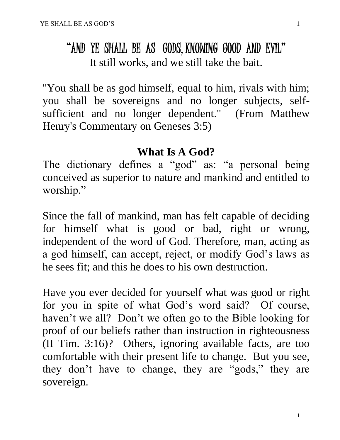## "AND YE SHALL BE AS GODS, KNOWING GOOD AND EVIL" It still works, and we still take the bait.

"You shall be as god himself, equal to him, rivals with him; you shall be sovereigns and no longer subjects, selfsufficient and no longer dependent." (From Matthew Henry's Commentary on Geneses 3:5)

#### **What Is A God?**

The dictionary defines a "god" as: "a personal being conceived as superior to nature and mankind and entitled to worship."

Since the fall of mankind, man has felt capable of deciding for himself what is good or bad, right or wrong, independent of the word of God. Therefore, man, acting as a god himself, can accept, reject, or modify God's laws as he sees fit; and this he does to his own destruction.

Have you ever decided for yourself what was good or right for you in spite of what God's word said? Of course, haven't we all? Don't we often go to the Bible looking for proof of our beliefs rather than instruction in righteousness (II Tim. 3:16)? Others, ignoring available facts, are too comfortable with their present life to change. But you see, they don't have to change, they are "gods," they are sovereign.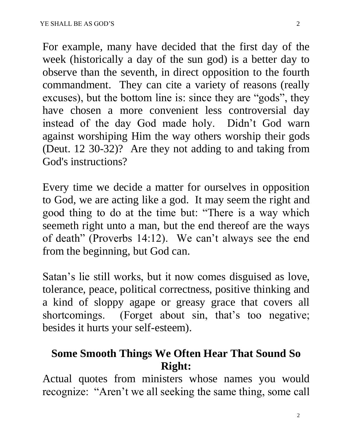For example, many have decided that the first day of the week (historically a day of the sun god) is a better day to observe than the seventh, in direct opposition to the fourth commandment. They can cite a variety of reasons (really excuses), but the bottom line is: since they are "gods", they have chosen a more convenient less controversial day instead of the day God made holy. Didn't God warn against worshiping Him the way others worship their gods (Deut. 12 30-32)? Are they not adding to and taking from God's instructions?

Every time we decide a matter for ourselves in opposition to God, we are acting like a god. It may seem the right and good thing to do at the time but: "There is a way which seemeth right unto a man, but the end thereof are the ways of death" (Proverbs 14:12). We can't always see the end from the beginning, but God can.

Satan's lie still works, but it now comes disguised as love, tolerance, peace, political correctness, positive thinking and a kind of sloppy agape or greasy grace that covers all shortcomings. (Forget about sin, that's too negative; besides it hurts your self-esteem).

### **Some Smooth Things We Often Hear That Sound So Right:**

Actual quotes from ministers whose names you would recognize: "Aren't we all seeking the same thing, some call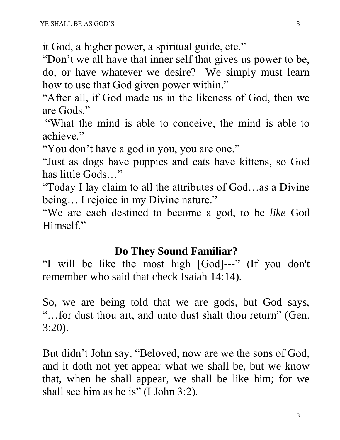it God, a higher power, a spiritual guide, etc."

"Don't we all have that inner self that gives us power to be, do, or have whatever we desire? We simply must learn how to use that God given power within."

"After all, if God made us in the likeness of God, then we are Gods."

"What the mind is able to conceive, the mind is able to achieve."

"You don't have a god in you, you are one."

"Just as dogs have puppies and cats have kittens, so God has little Gods…"

"Today I lay claim to all the attributes of God…as a Divine being... I rejoice in my Divine nature."

"We are each destined to become a god, to be *like* God Himself."

#### **Do They Sound Familiar?**

"I will be like the most high [God]---" (If you don't remember who said that check Isaiah 14:14).

So, we are being told that we are gods, but God says, "…for dust thou art, and unto dust shalt thou return" (Gen. 3:20).

But didn't John say, "Beloved, now are we the sons of God, and it doth not yet appear what we shall be, but we know that, when he shall appear, we shall be like him; for we shall see him as he is" (I John 3:2).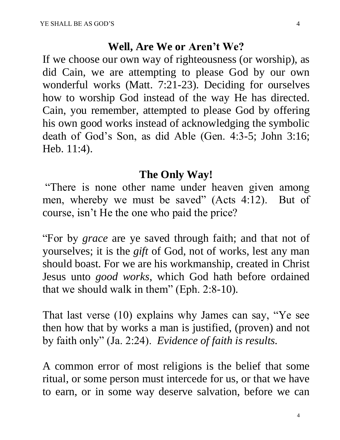#### **Well, Are We or Aren't We?**

If we choose our own way of righteousness (or worship), as did Cain, we are attempting to please God by our own wonderful works (Matt. 7:21-23). Deciding for ourselves how to worship God instead of the way He has directed. Cain, you remember, attempted to please God by offering his own good works instead of acknowledging the symbolic death of God's Son, as did Able (Gen. 4:3-5; John 3:16; Heb. 11:4).

#### **The Only Way!**

"There is none other name under heaven given among men, whereby we must be saved" (Acts 4:12). But of course, isn't He the one who paid the price?

"For by *grace* are ye saved through faith; and that not of yourselves; it is the *gift* of God, not of works, lest any man should boast. For we are his workmanship, created in Christ Jesus unto *good works*, which God hath before ordained that we should walk in them" (Eph. 2:8-10).

That last verse (10) explains why James can say, "Ye see then how that by works a man is justified, (proven) and not by faith only" (Ja. 2:24). *Evidence of faith is results.*

A common error of most religions is the belief that some ritual, or some person must intercede for us, or that we have to earn, or in some way deserve salvation, before we can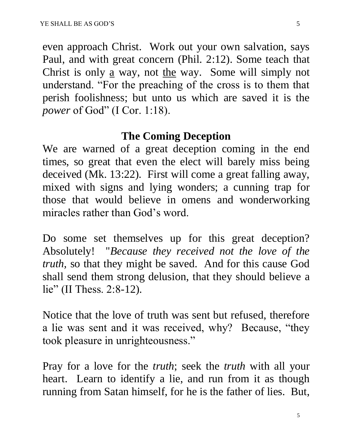even approach Christ. Work out your own salvation, says Paul, and with great concern (Phil. 2:12). Some teach that Christ is only <u>a</u> way, not the way. Some will simply not understand. "For the preaching of the cross is to them that perish foolishness; but unto us which are saved it is the *power* of God" (I Cor. 1:18).

#### **The Coming Deception**

We are warned of a great deception coming in the end times, so great that even the elect will barely miss being deceived (Mk. 13:22). First will come a great falling away, mixed with signs and lying wonders; a cunning trap for those that would believe in omens and wonderworking miracles rather than God's word.

Do some set themselves up for this great deception? Absolutely! "*Because they received not the love of the truth,* so that they might be saved. And for this cause God shall send them strong delusion, that they should believe a lie" (II Thess. 2:8-12).

Notice that the love of truth was sent but refused, therefore a lie was sent and it was received, why? Because, "they took pleasure in unrighteousness."

Pray for a love for the *truth*; seek the *truth* with all your heart. Learn to identify a lie, and run from it as though running from Satan himself, for he is the father of lies. But,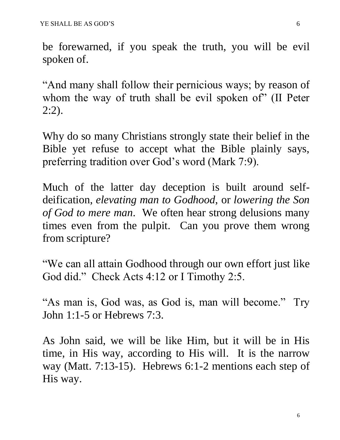be forewarned, if you speak the truth, you will be evil spoken of.

"And many shall follow their pernicious ways; by reason of whom the way of truth shall be evil spoken of" (II Peter 2:2).

Why do so many Christians strongly state their belief in the Bible yet refuse to accept what the Bible plainly says, preferring tradition over God's word (Mark 7:9).

Much of the latter day deception is built around selfdeification, *elevating man to Godhood*, or *lowering the Son of God to mere man*. We often hear strong delusions many times even from the pulpit. Can you prove them wrong from scripture?

"We can all attain Godhood through our own effort just like God did." Check Acts 4:12 or I Timothy 2:5.

"As man is, God was, as God is, man will become." Try John 1:1-5 or Hebrews 7:3.

As John said, we will be like Him, but it will be in His time, in His way, according to His will. It is the narrow way (Matt. 7:13-15). Hebrews 6:1-2 mentions each step of His way.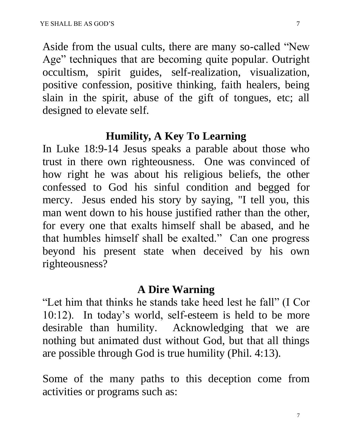Aside from the usual cults, there are many so-called "New Age" techniques that are becoming quite popular. Outright occultism, spirit guides, self-realization, visualization, positive confession, positive thinking, faith healers, being slain in the spirit, abuse of the gift of tongues, etc; all designed to elevate self.

#### **Humility, A Key To Learning**

In Luke 18:9-14 Jesus speaks a parable about those who trust in there own righteousness. One was convinced of how right he was about his religious beliefs, the other confessed to God his sinful condition and begged for mercy. Jesus ended his story by saying, "I tell you, this man went down to his house justified rather than the other, for every one that exalts himself shall be abased, and he that humbles himself shall be exalted." Can one progress beyond his present state when deceived by his own righteousness?

#### **A Dire Warning**

"Let him that thinks he stands take heed lest he fall" (I Cor 10:12). In today's world, self-esteem is held to be more desirable than humility. Acknowledging that we are nothing but animated dust without God, but that all things are possible through God is true humility (Phil. 4:13).

Some of the many paths to this deception come from activities or programs such as: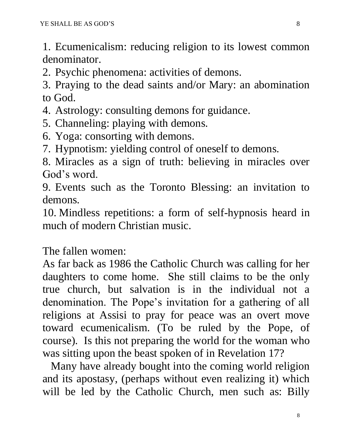1. Ecumenicalism: reducing religion to its lowest common denominator.

2. Psychic phenomena: activities of demons.

3. Praying to the dead saints and/or Mary: an abomination to God.

- 4. Astrology: consulting demons for guidance.
- 5. Channeling: playing with demons.
- 6. Yoga: consorting with demons.
- 7. Hypnotism: yielding control of oneself to demons.

8. Miracles as a sign of truth: believing in miracles over God's word.

9. Events such as the Toronto Blessing: an invitation to demons.

10. Mindless repetitions: a form of self-hypnosis heard in much of modern Christian music.

The fallen women:

As far back as 1986 the Catholic Church was calling for her daughters to come home. She still claims to be the only true church, but salvation is in the individual not a denomination. The Pope's invitation for a gathering of all religions at Assisi to pray for peace was an overt move toward ecumenicalism. (To be ruled by the Pope, of course). Is this not preparing the world for the woman who was sitting upon the beast spoken of in Revelation 17?

 Many have already bought into the coming world religion and its apostasy, (perhaps without even realizing it) which will be led by the Catholic Church, men such as: Billy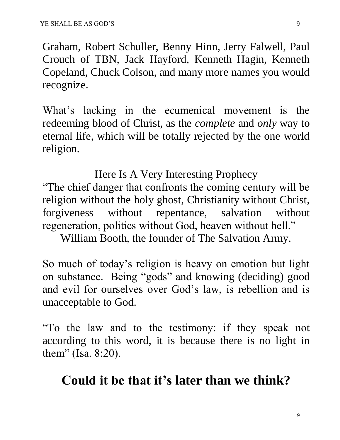Graham, Robert Schuller, Benny Hinn, Jerry Falwell, Paul Crouch of TBN, Jack Hayford, Kenneth Hagin, Kenneth Copeland, Chuck Colson, and many more names you would recognize.

What's lacking in the ecumenical movement is the redeeming blood of Christ, as the *complete* and *only* way to eternal life, which will be totally rejected by the one world religion.

Here Is A Very Interesting Prophecy "The chief danger that confronts the coming century will be religion without the holy ghost, Christianity without Christ, forgiveness without repentance, salvation without regeneration, politics without God, heaven without hell."

William Booth, the founder of The Salvation Army.

So much of today's religion is heavy on emotion but light on substance. Being "gods" and knowing (deciding) good and evil for ourselves over God's law, is rebellion and is unacceptable to God.

"To the law and to the testimony: if they speak not according to this word, it is because there is no light in them" (Isa. 8:20).

## **Could it be that it's later than we think?**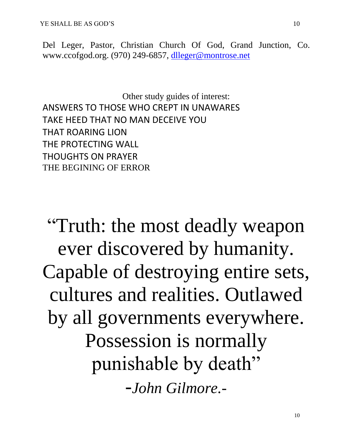Del Leger, Pastor, Christian Church Of God, Grand Junction, Co. www.ccofgod.org. (970) 249-6857, [dlleger@montrose.net](mailto:dleger@q.com)

Other study guides of interest: ANSWERS TO THOSE WHO CREPT IN UNAWARES TAKE HEED THAT NO MAN DECEIVE YOU THAT ROARING LION THE PROTECTING WALL THOUGHTS ON PRAYER THE BEGINING OF ERROR

"Truth: the most deadly weapon ever discovered by humanity. Capable of destroying entire sets, cultures and realities. Outlawed by all governments everywhere. Possession is normally punishable by death" -*John Gilmore.-*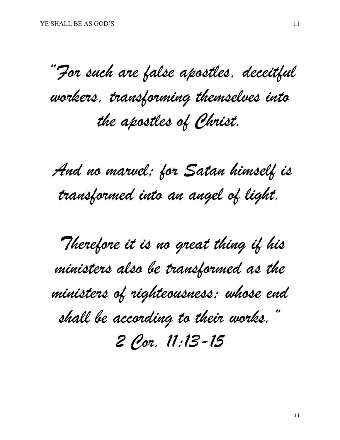*"For such are false apostles, deceitful workers, transforming themselves into the apostles of Christ.*

*And no marvel; for Satan himself is transformed into an angel of light.*

*Therefore it is no great thing if his ministers also be transformed as the ministers of righteousness; whose end shall be according to their works." 2 Cor. 11:13-15*